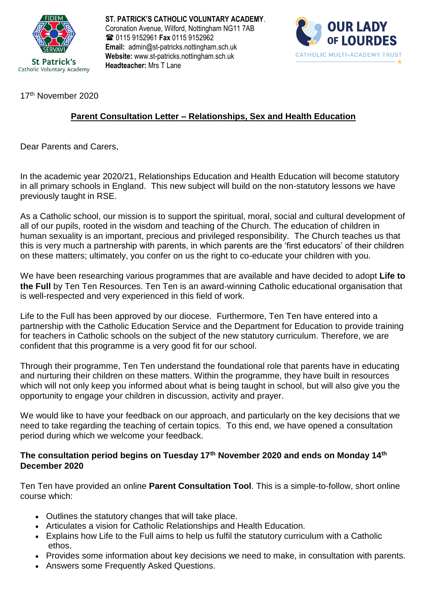

**ST. PATRICK'S CATHOLIC VOLUNTARY ACADEMY**. Coronation Avenue, Wilford, Nottingham NG11 7AB 0115 9152961 **Fax** 0115 9152962 **Email:** admin@st-patricks.nottingham.sch.uk **Website:** www.st-patricks.nottingham.sch.uk **Headteacher:** Mrs T Lane



17<sup>th</sup> November 2020

## **Parent Consultation Letter – Relationships, Sex and Health Education**

Dear Parents and Carers,

In the academic year 2020/21, Relationships Education and Health Education will become statutory in all primary schools in England. This new subject will build on the non-statutory lessons we have previously taught in RSE.

As a Catholic school, our mission is to support the spiritual, moral, social and cultural development of all of our pupils, rooted in the wisdom and teaching of the Church. The education of children in human sexuality is an important, precious and privileged responsibility. The Church teaches us that this is very much a partnership with parents, in which parents are the 'first educators' of their children on these matters; ultimately, you confer on us the right to co-educate your children with you.

We have been researching various programmes that are available and have decided to adopt **Life to the Full** by Ten Ten Resources. Ten Ten is an award-winning Catholic educational organisation that is well-respected and very experienced in this field of work.

Life to the Full has been approved by our diocese. Furthermore, Ten Ten have entered into a partnership with the Catholic Education Service and the Department for Education to provide training for teachers in Catholic schools on the subject of the new statutory curriculum. Therefore, we are confident that this programme is a very good fit for our school.

Through their programme, Ten Ten understand the foundational role that parents have in educating and nurturing their children on these matters. Within the programme, they have built in resources which will not only keep you informed about what is being taught in school, but will also give you the opportunity to engage your children in discussion, activity and prayer.

We would like to have your feedback on our approach, and particularly on the key decisions that we need to take regarding the teaching of certain topics. To this end, we have opened a consultation period during which we welcome your feedback.

## **The consultation period begins on Tuesday 17th November 2020 and ends on Monday 14th December 2020**

Ten Ten have provided an online **Parent Consultation Tool**. This is a simple-to-follow, short online course which:

- Outlines the statutory changes that will take place.
- Articulates a vision for Catholic Relationships and Health Education.
- Explains how Life to the Full aims to help us fulfil the statutory curriculum with a Catholic ethos.
- Provides some information about key decisions we need to make, in consultation with parents.
- Answers some Frequently Asked Questions.